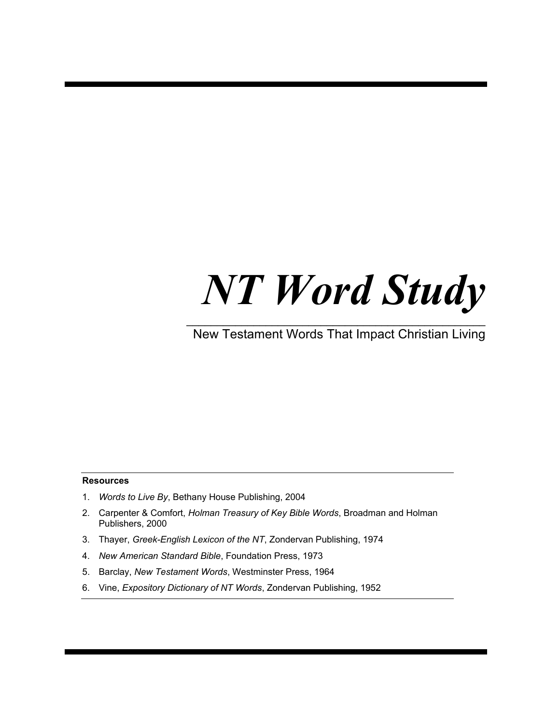## *NT Word Study*

 $\mathcal{L}_\text{max}$  , and the contract of the contract of the contract of the contract of the contract of the contract of the contract of the contract of the contract of the contract of the contract of the contract of the contr New Testament Words That Impact Christian Living

#### **Resources**

- 1. *Words to Live By*, Bethany House Publishing, 2004
- 2. Carpenter & Comfort, *Holman Treasury of Key Bible Words*, Broadman and Holman Publishers, 2000
- 3. Thayer, *Greek-English Lexicon of the NT*, Zondervan Publishing, 1974
- 4. *New American Standard Bible*, Foundation Press, 1973
- 5. Barclay, *New Testament Words*, Westminster Press, 1964
- 6. Vine, *Expository Dictionary of NT Words*, Zondervan Publishing, 1952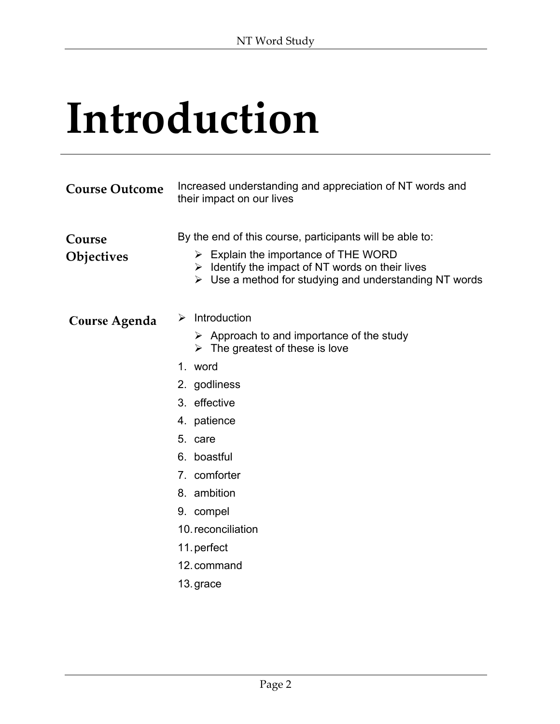## **Introduction**

| <b>Course Outcome</b> | Increased understanding and appreciation of NT words and<br>their impact on our lives                                                                                                                                                                                                                                           |  |
|-----------------------|---------------------------------------------------------------------------------------------------------------------------------------------------------------------------------------------------------------------------------------------------------------------------------------------------------------------------------|--|
| Course<br>Objectives  | By the end of this course, participants will be able to:<br>$\triangleright$ Explain the importance of THE WORD<br>$\triangleright$ Identify the impact of NT words on their lives<br>$\triangleright$ Use a method for studying and understanding NT words                                                                     |  |
| <b>Course Agenda</b>  | Introduction<br>➤<br>$\triangleright$ Approach to and importance of the study<br>$\triangleright$ The greatest of these is love<br>1. word<br>2. godliness<br>3. effective<br>4. patience<br>5. care<br>6. boastful<br>7. comforter<br>8. ambition<br>9. compel<br>10. reconciliation<br>11. perfect<br>12. command<br>13.grace |  |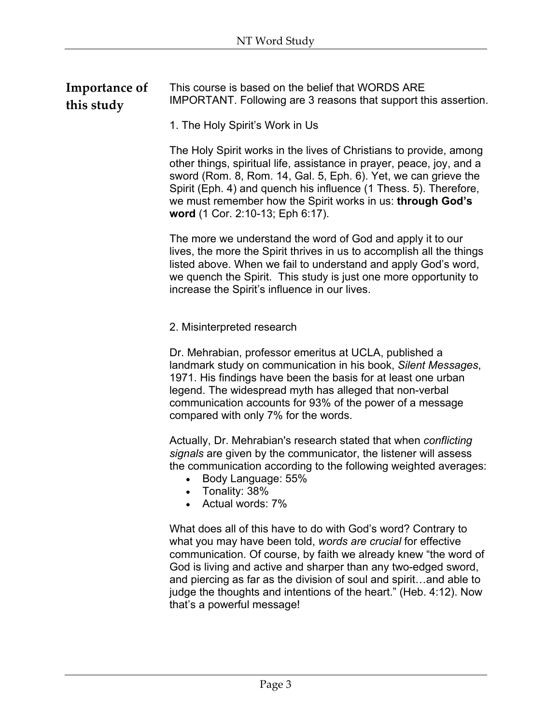| Importance of | This course is based on the belief that WORDS ARE               |
|---------------|-----------------------------------------------------------------|
| this study    | IMPORTANT. Following are 3 reasons that support this assertion. |

1. The Holy Spirit's Work in Us

The Holy Spirit works in the lives of Christians to provide, among other things, spiritual life, assistance in prayer, peace, joy, and a sword (Rom. 8, Rom. 14, Gal. 5, Eph. 6). Yet, we can grieve the Spirit (Eph. 4) and quench his influence (1 Thess. 5). Therefore, we must remember how the Spirit works in us: **through God's word** (1 Cor. 2:10-13; Eph 6:17).

The more we understand the word of God and apply it to our lives, the more the Spirit thrives in us to accomplish all the things listed above. When we fail to understand and apply God's word, we quench the Spirit. This study is just one more opportunity to increase the Spirit's influence in our lives.

#### 2. Misinterpreted research

Dr. Mehrabian, professor emeritus at UCLA, published a landmark study on communication in his book, *Silent Messages*, 1971. His findings have been the basis for at least one urban legend. The widespread myth has alleged that non-verbal communication accounts for 93% of the power of a message compared with only 7% for the words.

Actually, Dr. Mehrabian's research stated that when *conflicting signals* are given by the communicator, the listener will assess the communication according to the following weighted averages:

- Body Language: 55%
- Tonality: 38%
- Actual words: 7%

What does all of this have to do with God's word? Contrary to what you may have been told, *words are crucial* for effective communication. Of course, by faith we already knew "the word of God is living and active and sharper than any two-edged sword, and piercing as far as the division of soul and spirit…and able to judge the thoughts and intentions of the heart." (Heb. 4:12). Now that's a powerful message!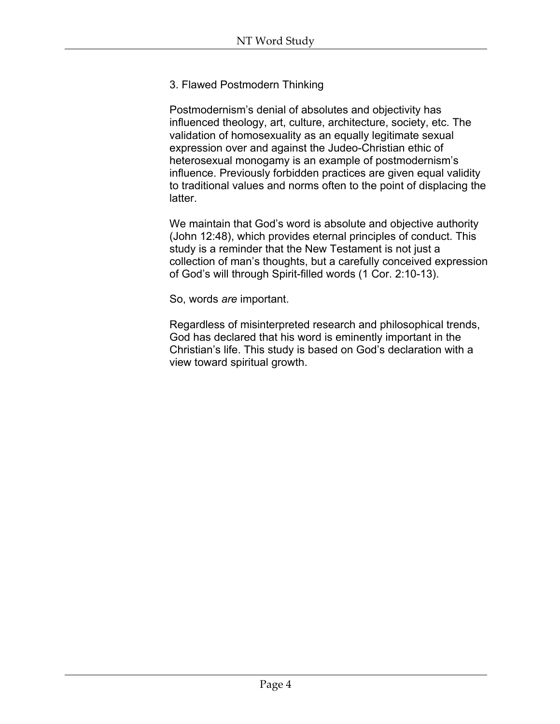#### 3. Flawed Postmodern Thinking

Postmodernism's denial of absolutes and objectivity has influenced theology, art, culture, architecture, society, etc. The validation of homosexuality as an equally legitimate sexual expression over and against the Judeo-Christian ethic of heterosexual monogamy is an example of postmodernism's influence. Previously forbidden practices are given equal validity to traditional values and norms often to the point of displacing the latter.

We maintain that God's word is absolute and objective authority (John 12:48), which provides eternal principles of conduct. This study is a reminder that the New Testament is not just a collection of man's thoughts, but a carefully conceived expression of God's will through Spirit-filled words (1 Cor. 2:10-13).

So, words *are* important.

Regardless of misinterpreted research and philosophical trends, God has declared that his word is eminently important in the Christian's life. This study is based on God's declaration with a view toward spiritual growth.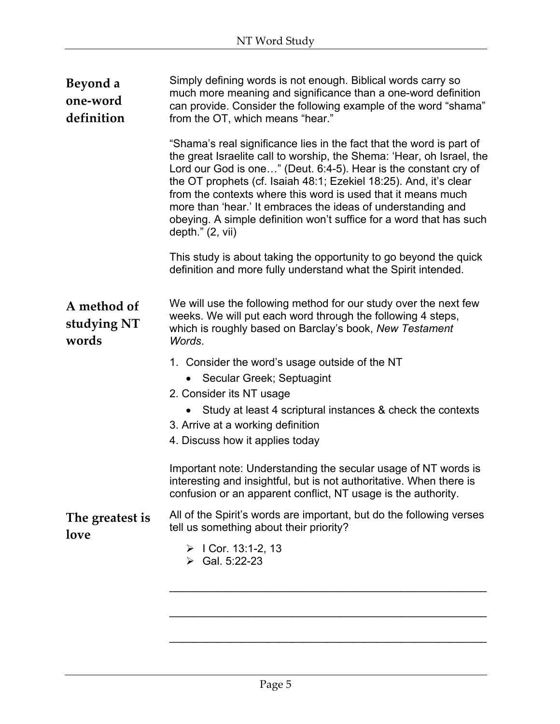| Beyond a<br>one-word<br>definition  | Simply defining words is not enough. Biblical words carry so<br>much more meaning and significance than a one-word definition<br>can provide. Consider the following example of the word "shama"<br>from the OT, which means "hear."                                                                                                                                                                                                                                                                               |
|-------------------------------------|--------------------------------------------------------------------------------------------------------------------------------------------------------------------------------------------------------------------------------------------------------------------------------------------------------------------------------------------------------------------------------------------------------------------------------------------------------------------------------------------------------------------|
|                                     | "Shama's real significance lies in the fact that the word is part of<br>the great Israelite call to worship, the Shema: 'Hear, oh Israel, the<br>Lord our God is one" (Deut. 6:4-5). Hear is the constant cry of<br>the OT prophets (cf. Isaiah 48:1; Ezekiel 18:25). And, it's clear<br>from the contexts where this word is used that it means much<br>more than 'hear.' It embraces the ideas of understanding and<br>obeying. A simple definition won't suffice for a word that has such<br>depth." $(2, vii)$ |
|                                     | This study is about taking the opportunity to go beyond the quick<br>definition and more fully understand what the Spirit intended.                                                                                                                                                                                                                                                                                                                                                                                |
| A method of<br>studying NT<br>words | We will use the following method for our study over the next few<br>weeks. We will put each word through the following 4 steps,<br>which is roughly based on Barclay's book, New Testament<br>Words.                                                                                                                                                                                                                                                                                                               |
|                                     | 1. Consider the word's usage outside of the NT<br>Secular Greek; Septuagint<br>2. Consider its NT usage                                                                                                                                                                                                                                                                                                                                                                                                            |
|                                     | Study at least 4 scriptural instances & check the contexts<br>3. Arrive at a working definition<br>4. Discuss how it applies today                                                                                                                                                                                                                                                                                                                                                                                 |
|                                     | Important note: Understanding the secular usage of NT words is<br>interesting and insightful, but is not authoritative. When there is<br>confusion or an apparent conflict, NT usage is the authority.                                                                                                                                                                                                                                                                                                             |
| The greatest is<br>love             | All of the Spirit's words are important, but do the following verses<br>tell us something about their priority?                                                                                                                                                                                                                                                                                                                                                                                                    |
|                                     | $\triangleright$ I Cor. 13:1-2, 13<br>$\triangleright$ Gal. 5:22-23                                                                                                                                                                                                                                                                                                                                                                                                                                                |
|                                     |                                                                                                                                                                                                                                                                                                                                                                                                                                                                                                                    |

 $\mathcal{L}_\text{max}$  and  $\mathcal{L}_\text{max}$  and  $\mathcal{L}_\text{max}$  and  $\mathcal{L}_\text{max}$  and  $\mathcal{L}_\text{max}$ 

\_\_\_\_\_\_\_\_\_\_\_\_\_\_\_\_\_\_\_\_\_\_\_\_\_\_\_\_\_\_\_\_\_\_\_\_\_\_\_\_\_\_\_\_\_\_\_\_\_\_\_\_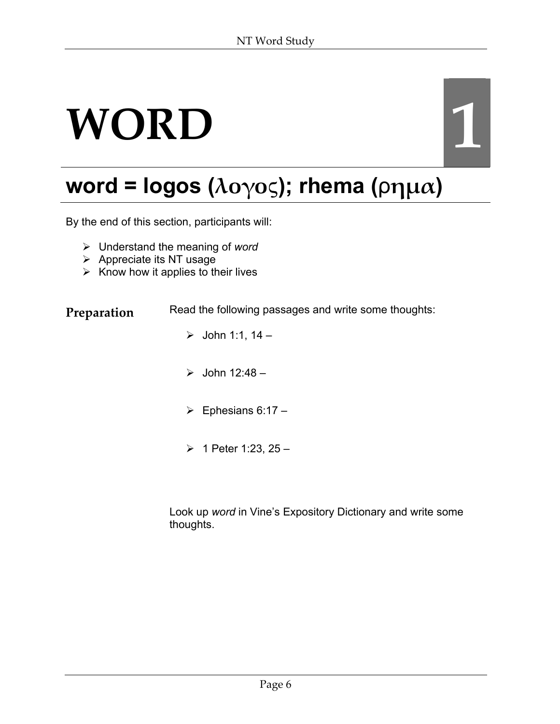## **WORD 1**

## **word = logos (λογο**ς**); rhema (**ρ**ηµα)**

By the end of this section, participants will:

- ¾ Understand the meaning of *word*
- $\triangleright$  Appreciate its NT usage
- $\triangleright$  Know how it applies to their lives

**Preparation** Read the following passages and write some thoughts:

- $\triangleright$  John 1:1, 14 –
- $\geq$  John 12:48 –
- $\triangleright$  Ephesians 6:17 –
- $\geq 1$  Peter 1:23, 25 –

Look up *word* in Vine's Expository Dictionary and write some thoughts.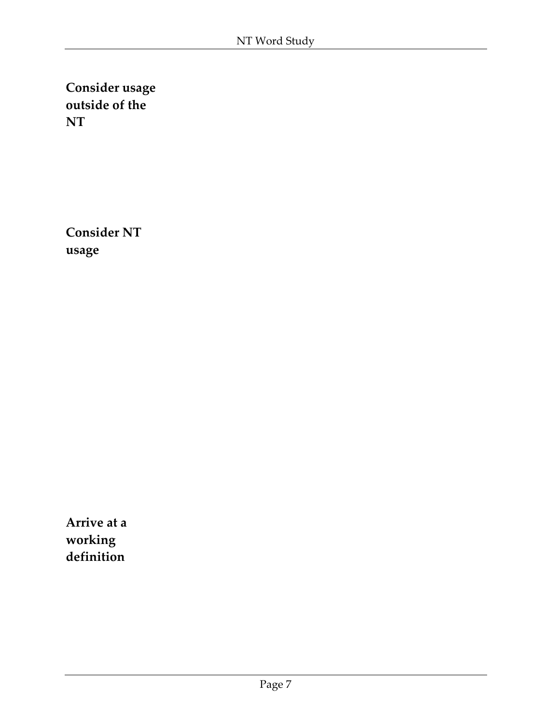**Consider usage outside of the NT**

**Consider NT usage**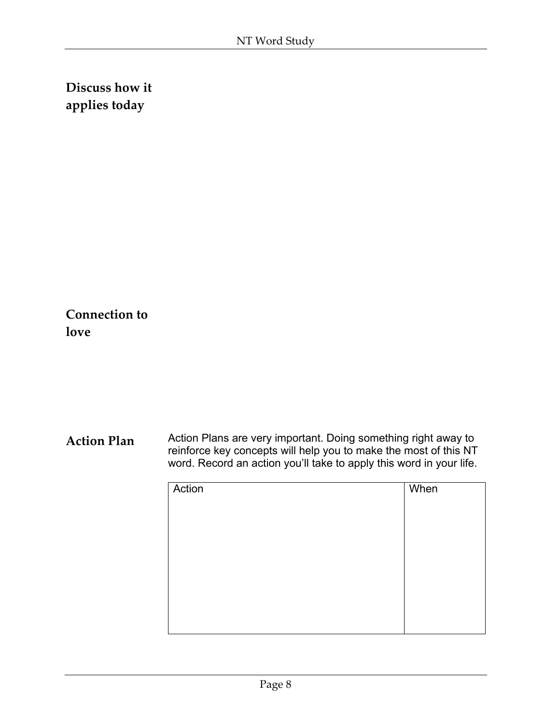**Connection to love**

| Action | When |
|--------|------|
|        |      |
|        |      |
|        |      |
|        |      |
|        |      |
|        |      |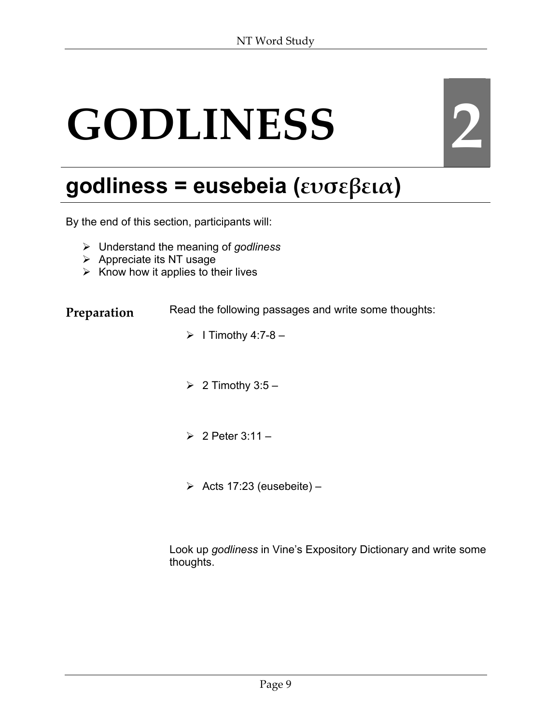# **GODLINESS 2**

## **godliness = eusebeia (ευσεβεια)**

By the end of this section, participants will:

- ¾ Understand the meaning of *godliness*
- $\triangleright$  Appreciate its NT usage
- $\triangleright$  Know how it applies to their lives

**Preparation** Read the following passages and write some thoughts:

- $\triangleright$  I Timothy 4:7-8 –
- $\geq 2$  Timothy 3:5 –
- $\geq 2$  Peter 3:11 –
- $\triangleright$  Acts 17:23 (eusebeite) –

Look up *godliness* in Vine's Expository Dictionary and write some thoughts.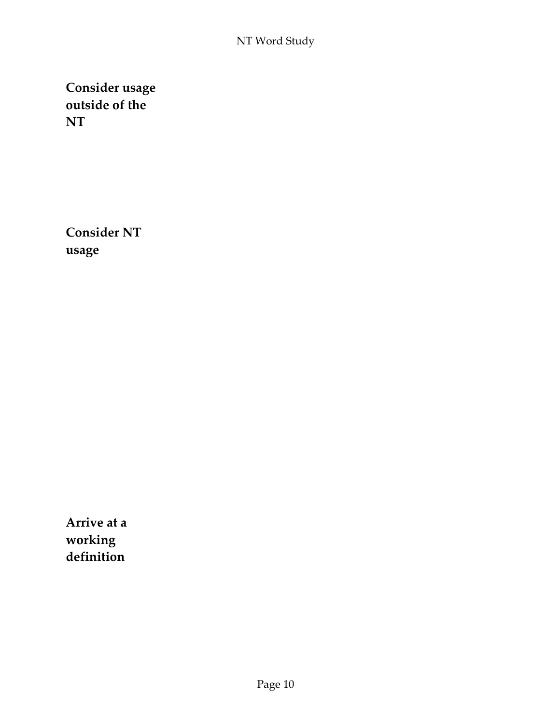**Consider usage outside of the NT**

**Consider NT usage**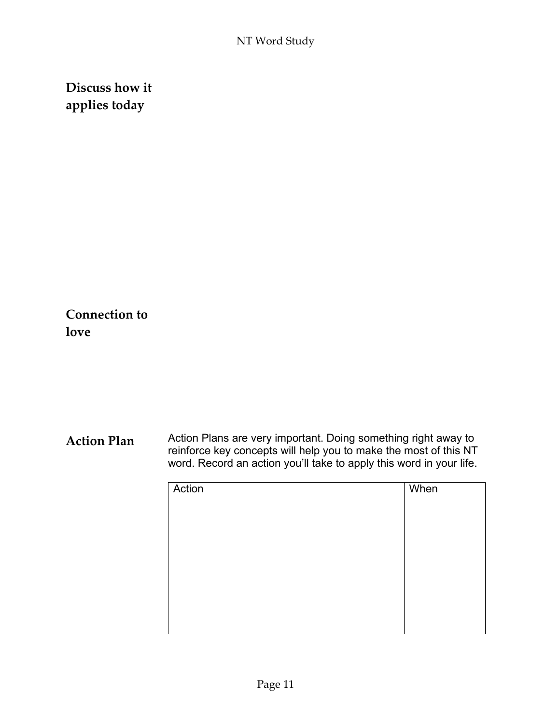**Connection to love**

| Action | When |
|--------|------|
|        |      |
|        |      |
|        |      |
|        |      |
|        |      |
|        |      |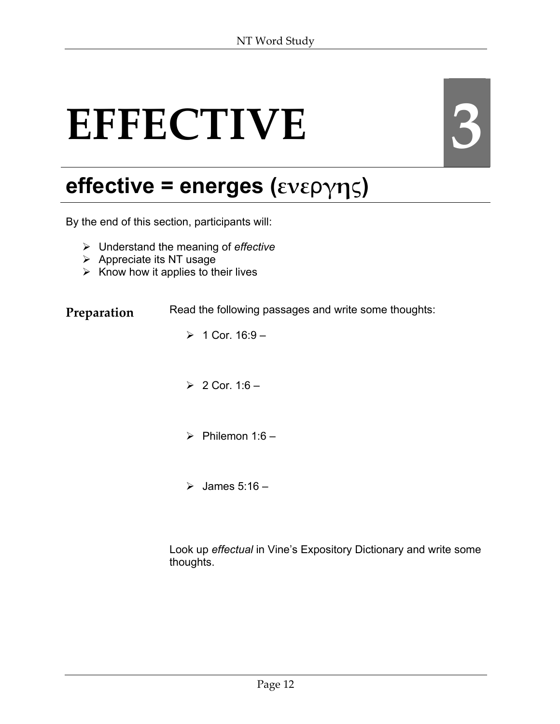# EFFECTIVE 3

## **effective = energes (ενε**ρ**γη**ς**)**

By the end of this section, participants will:

- ¾ Understand the meaning of *effective*
- $\triangleright$  Appreciate its NT usage
- $\triangleright$  Know how it applies to their lives

**Preparation** Read the following passages and write some thoughts:

- $> 1$  Cor. 16:9 –
- $> 2$  Cor. 1:6 –
- $\triangleright$  Philemon 1:6 –
- $\geq$  James 5:16 –

Look up *effectual* in Vine's Expository Dictionary and write some thoughts.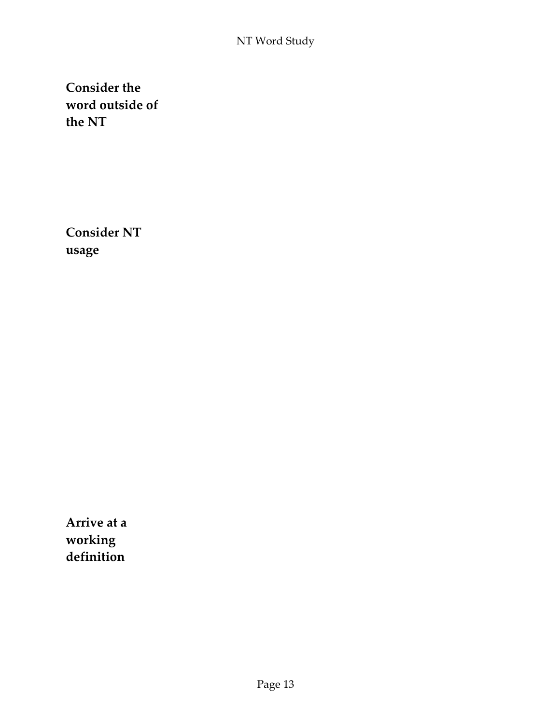**Consider NT usage**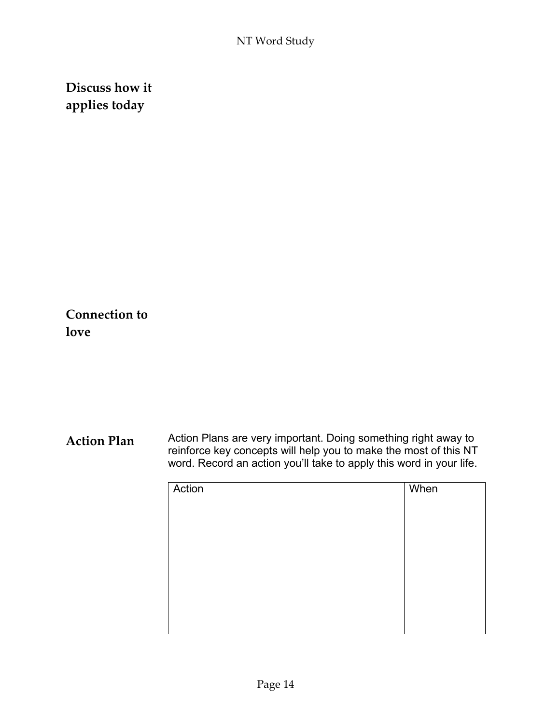**Connection to love**

| Action | When |
|--------|------|
|        |      |
|        |      |
|        |      |
|        |      |
|        |      |
|        |      |
|        |      |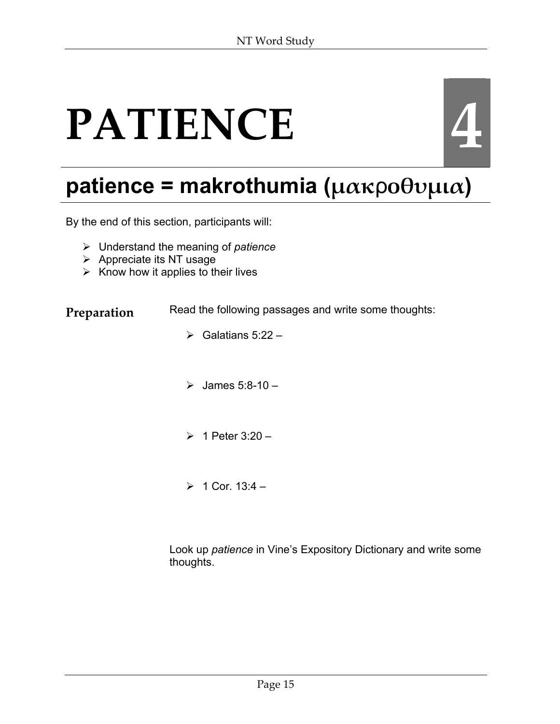## **PATIENCE**



## **patience = makrothumia (µακ**ρ**οθυµια)**

By the end of this section, participants will:

- ¾ Understand the meaning of *patience*
- $\triangleright$  Appreciate its NT usage
- $\triangleright$  Know how it applies to their lives

**Preparation** Read the following passages and write some thoughts:

- $\triangleright$  Galatians 5:22 –
- $\geq$  James 5:8-10 -
- $\geq 1$  Peter 3:20 –
- $> 1$  Cor. 13:4 –

Look up *patience* in Vine's Expository Dictionary and write some thoughts.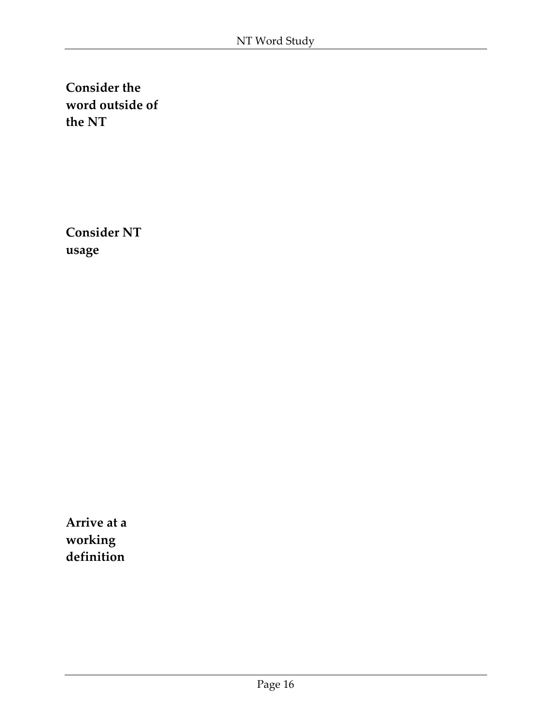**Consider NT usage**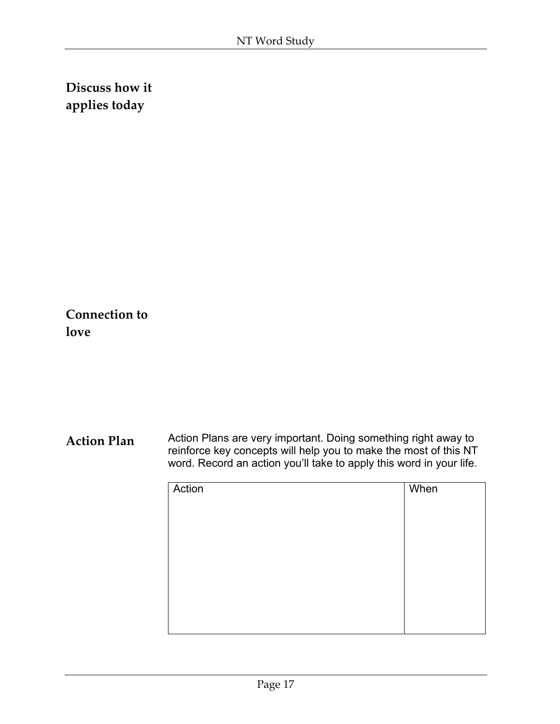**Connection to love**

| Action | When |
|--------|------|
|        |      |
|        |      |
|        |      |
|        |      |
|        |      |
|        |      |
|        |      |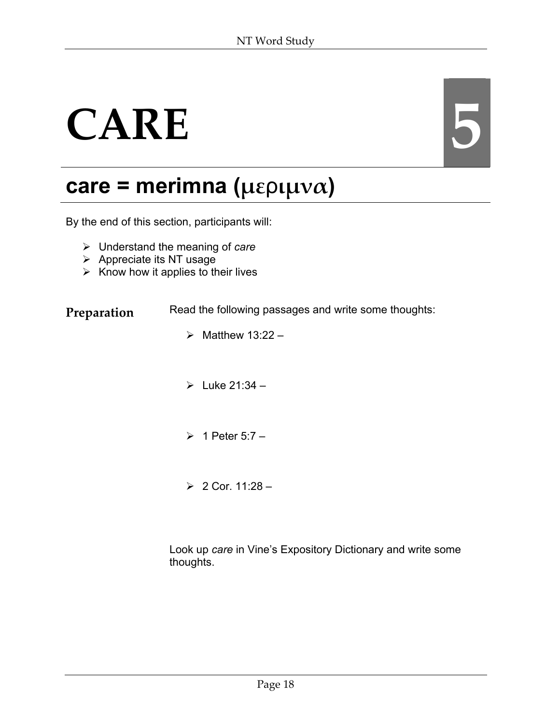# CARE **6**

## **care = merimna (µε**ρ**ιµνα)**

By the end of this section, participants will:

- ¾ Understand the meaning of *care*
- $\triangleright$  Appreciate its NT usage
- $\triangleright$  Know how it applies to their lives

**Preparation** Read the following passages and write some thoughts:

- $\triangleright$  Matthew 13:22 –
- $\blacktriangleright$  Luke 21:34 –
- $\geq 1$  Peter 5:7 –
- $> 2$  Cor. 11:28 –

Look up *care* in Vine's Expository Dictionary and write some thoughts.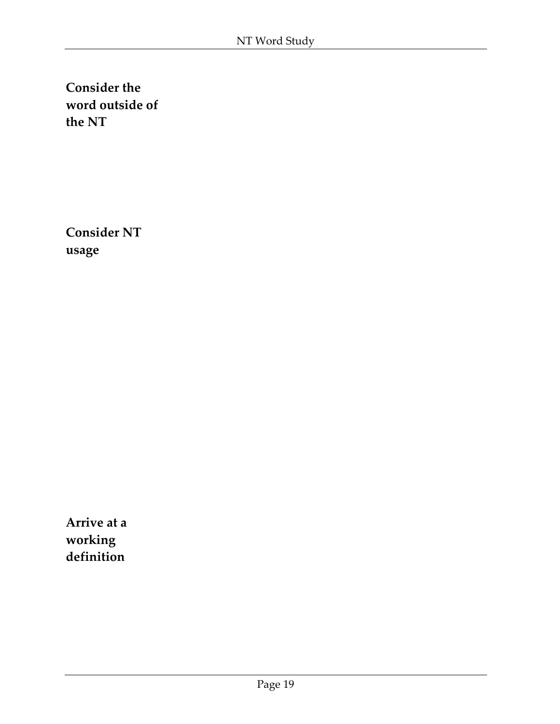**Consider NT usage**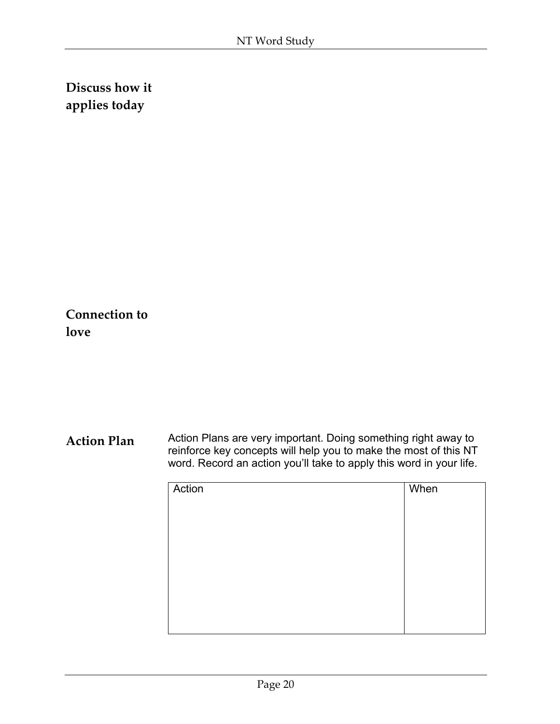**Connection to love**

| Action | When |
|--------|------|
|        |      |
|        |      |
|        |      |
|        |      |
|        |      |
|        |      |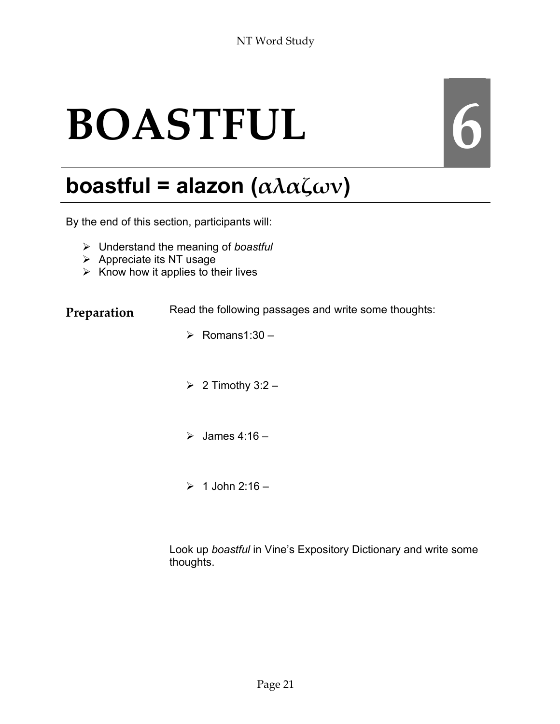# **BOASTFUL 6**

## **boastful = alazon (αλαζων)**

By the end of this section, participants will:

- ¾ Understand the meaning of *boastful*
- $\triangleright$  Appreciate its NT usage
- $\triangleright$  Know how it applies to their lives

**Preparation** Read the following passages and write some thoughts:

- $\triangleright$  Romans1:30 –
- $\geq 2$  Timothy 3:2 –
- $\geq$  James 4:16 –
- $> 1$  John 2:16 –

Look up *boastful* in Vine's Expository Dictionary and write some thoughts.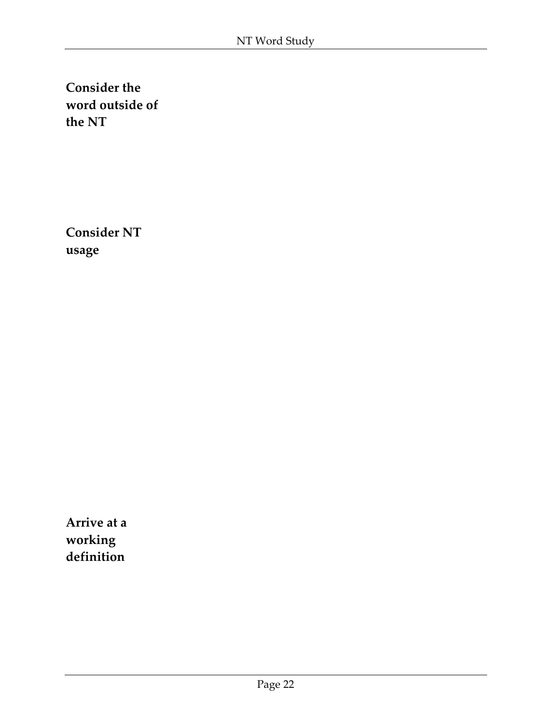**Consider NT usage**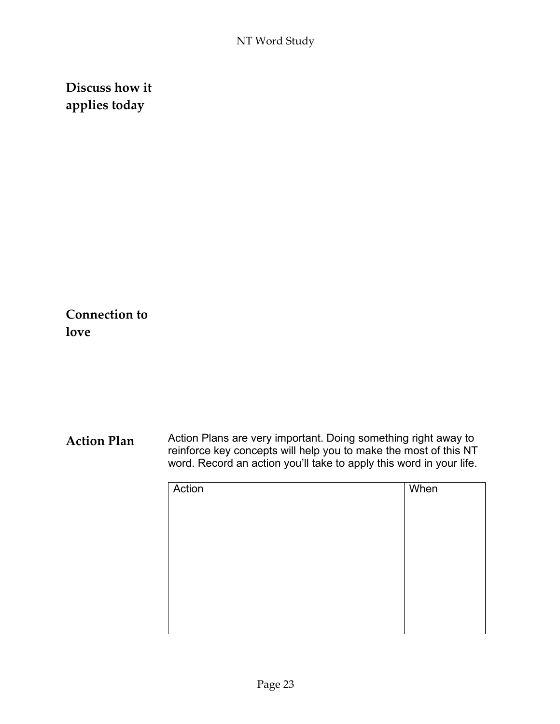**Connection to love**

| Action | When |
|--------|------|
|        |      |
|        |      |
|        |      |
|        |      |
|        |      |
|        |      |
|        |      |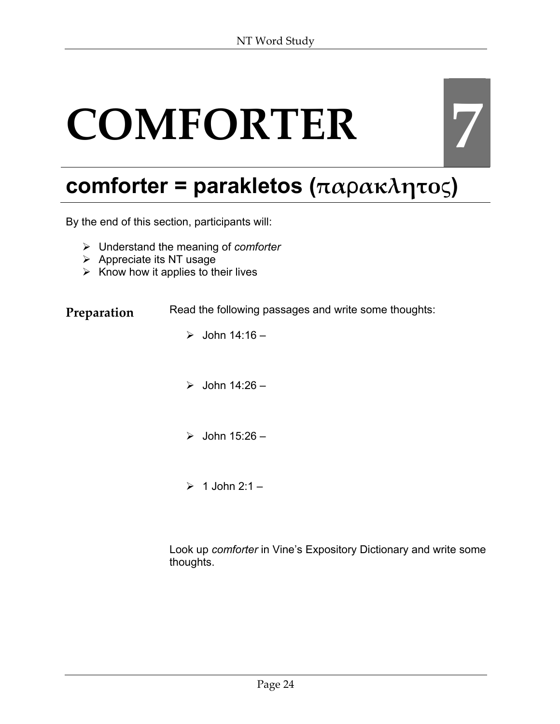# **COMFORTER 7**

## **comforter = parakletos (πα**ρ**ακλητο**ς**)**

By the end of this section, participants will:

- ¾ Understand the meaning of *comforter*
- $\triangleright$  Appreciate its NT usage
- $\triangleright$  Know how it applies to their lives

**Preparation** Read the following passages and write some thoughts:

- $\geq$  John 14:16 –
- $\triangleright$  John 14:26 –
- $\triangleright$  John 15:26 –
- $\geq 1$  John 2:1 –

Look up *comforter* in Vine's Expository Dictionary and write some thoughts.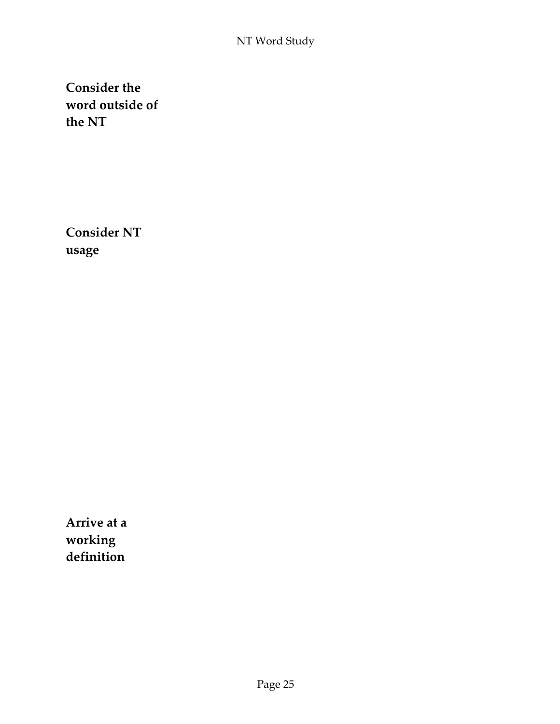**Consider NT usage**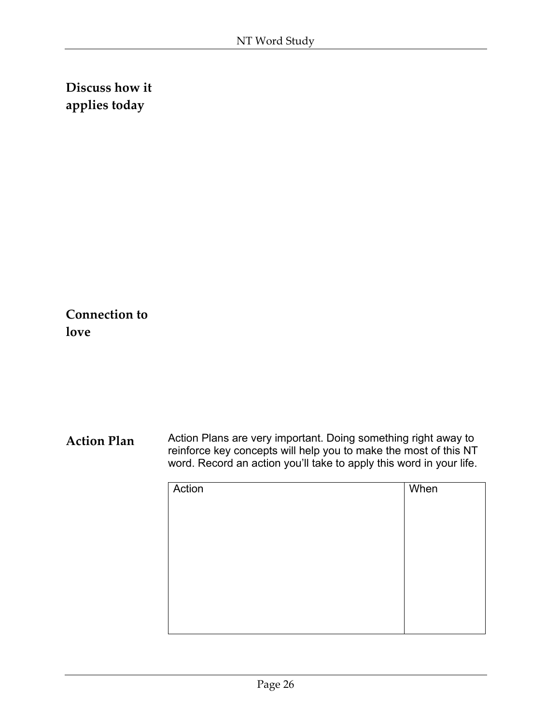**Connection to love**

| Action | When |
|--------|------|
|        |      |
|        |      |
|        |      |
|        |      |
|        |      |
|        |      |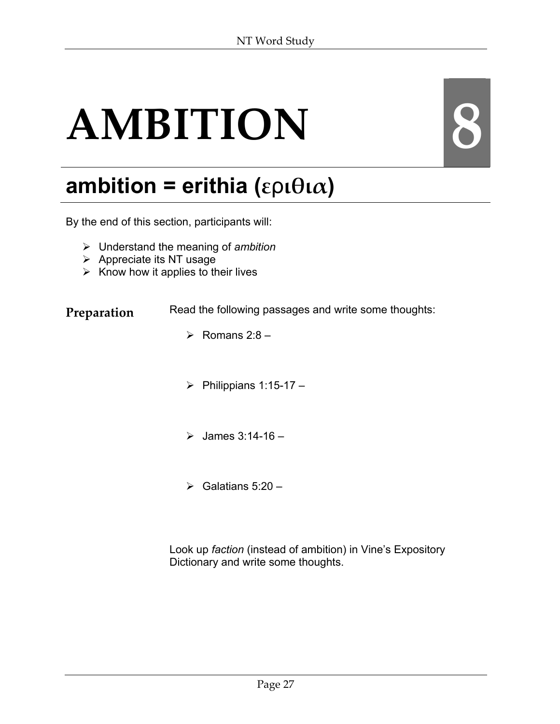# **AMBITION 8**

## **ambition = erithia (ε**ρ**ιθια)**

By the end of this section, participants will:

- ¾ Understand the meaning of *ambition*
- $\triangleright$  Appreciate its NT usage
- $\triangleright$  Know how it applies to their lives

**Preparation** Read the following passages and write some thoughts:

- $\triangleright$  Romans 2:8 –
- $\triangleright$  Philippians 1:15-17 –
- $\triangleright$  James 3:14-16 -
- $\triangleright$  Galatians 5:20 –

Look up *faction* (instead of ambition) in Vine's Expository Dictionary and write some thoughts.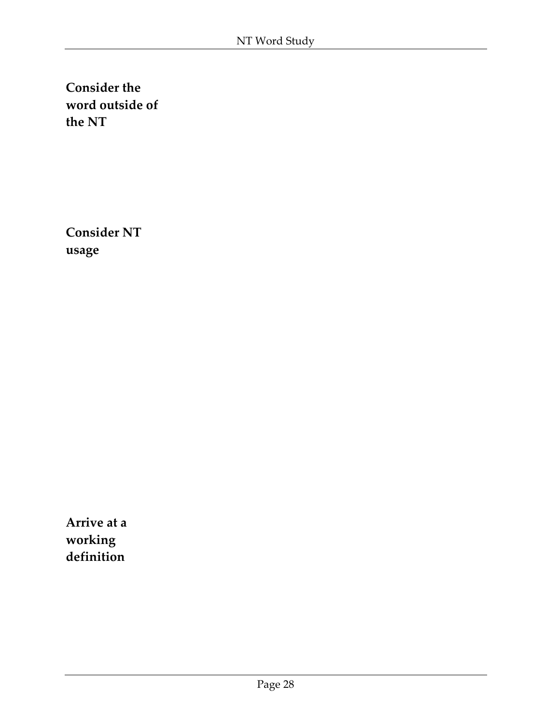**Consider NT usage**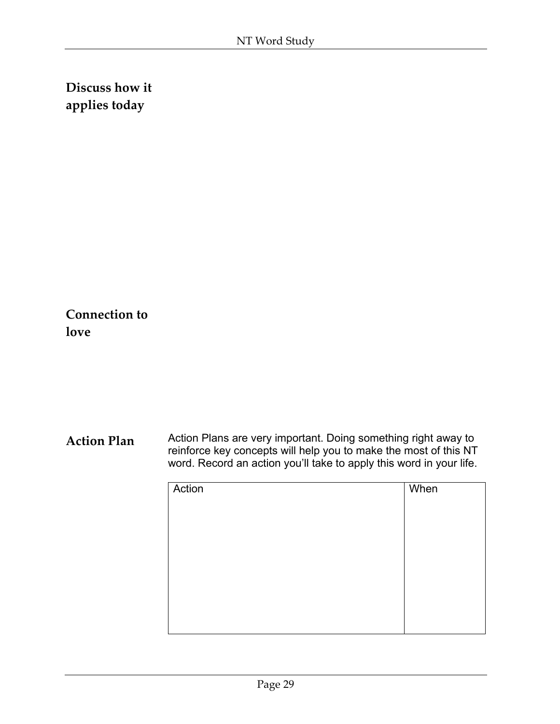**Connection to love**

| Action | When |
|--------|------|
|        |      |
|        |      |
|        |      |
|        |      |
|        |      |
|        |      |
|        |      |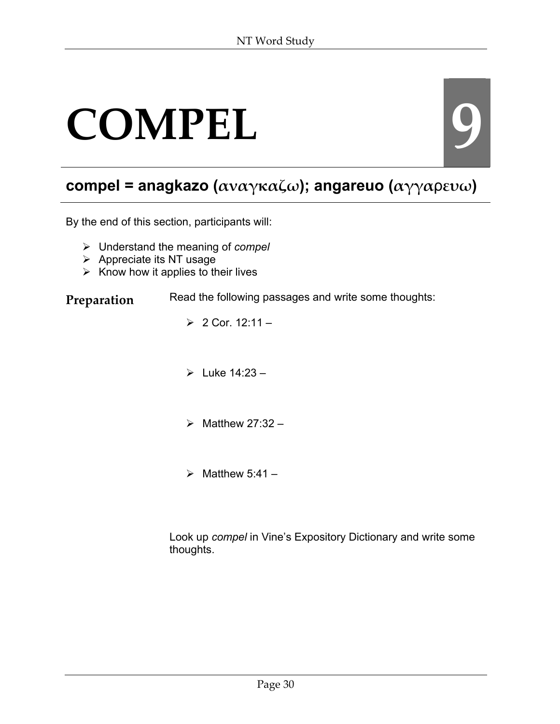## COMPEL 9

#### **compel = anagkazo (αναγκαζω); angareuo (αγγα**ρ**ευω)**

By the end of this section, participants will:

- ¾ Understand the meaning of *compel*
- $\triangleright$  Appreciate its NT usage
- $\triangleright$  Know how it applies to their lives

#### **Preparation** Read the following passages and write some thoughts:

- $> 2$  Cor. 12:11 –
- $\blacktriangleright$  Luke 14:23 -
- $\triangleright$  Matthew 27:32 –
- $\triangleright$  Matthew 5:41 –

Look up *compel* in Vine's Expository Dictionary and write some thoughts.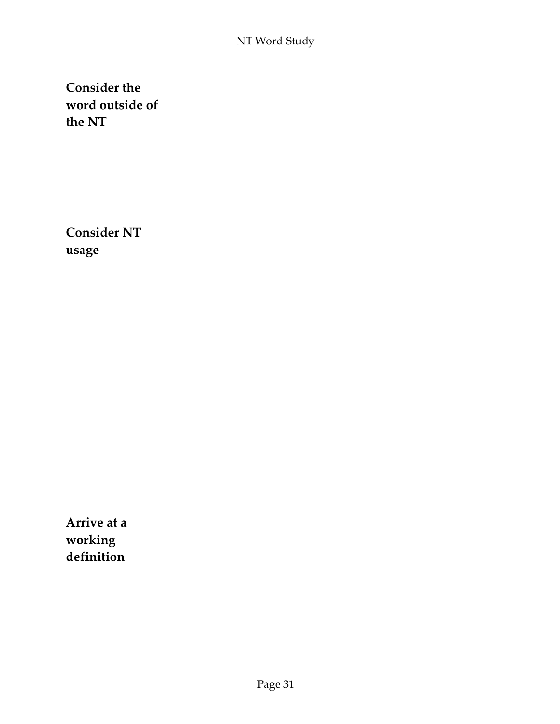**Consider NT usage**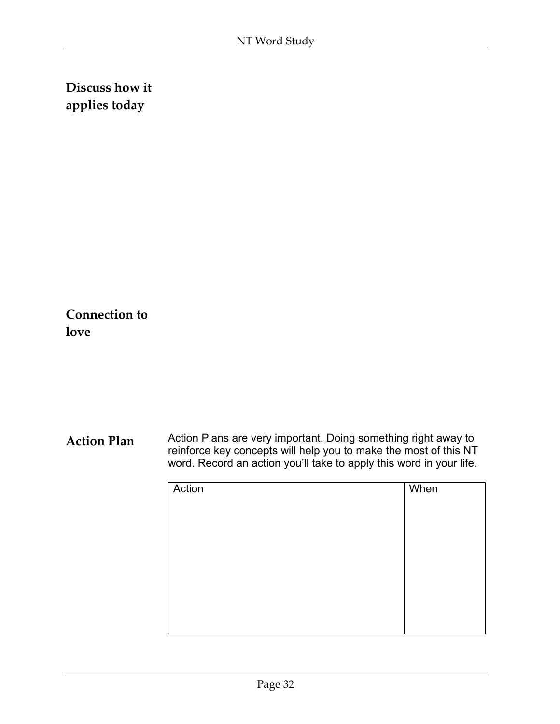**Connection to love**

| Action | When |
|--------|------|
|        |      |
|        |      |
|        |      |
|        |      |
|        |      |
|        |      |
|        |      |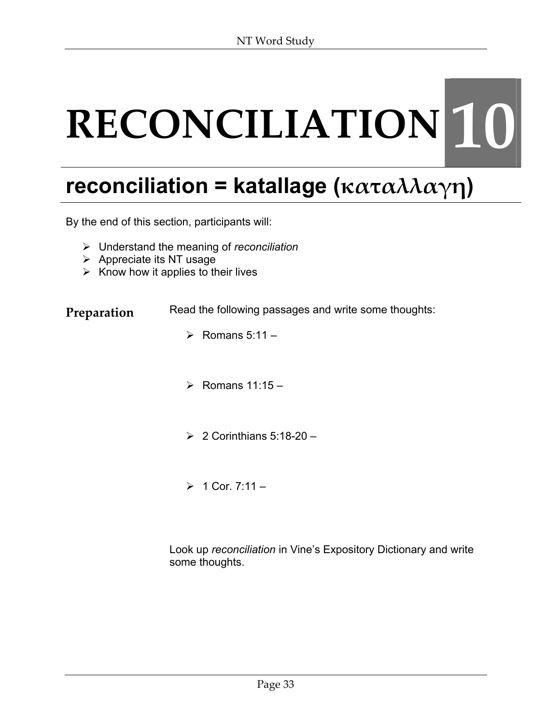# **RECONCILIATION 10**

#### **reconciliation = katallage (καταλλαγη)**

By the end of this section, participants will:

- ¾ Understand the meaning of *reconciliation*
- $\triangleright$  Appreciate its NT usage
- $\triangleright$  Know how it applies to their lives

**Preparation** Read the following passages and write some thoughts:

- $\triangleright$  Romans 5:11 –
- $\triangleright$  Romans 11:15 –
- $\geq 2$  Corinthians 5:18-20 –
- $> 1$  Cor. 7:11 –

Look up *reconciliation* in Vine's Expository Dictionary and write some thoughts.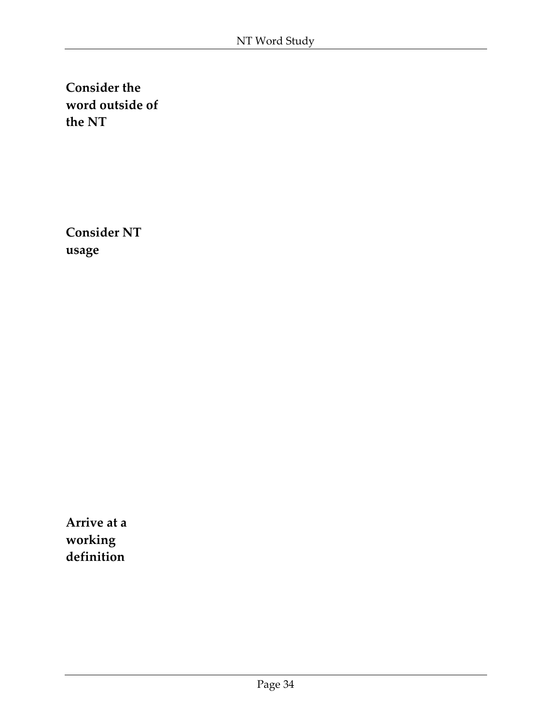**Consider NT usage**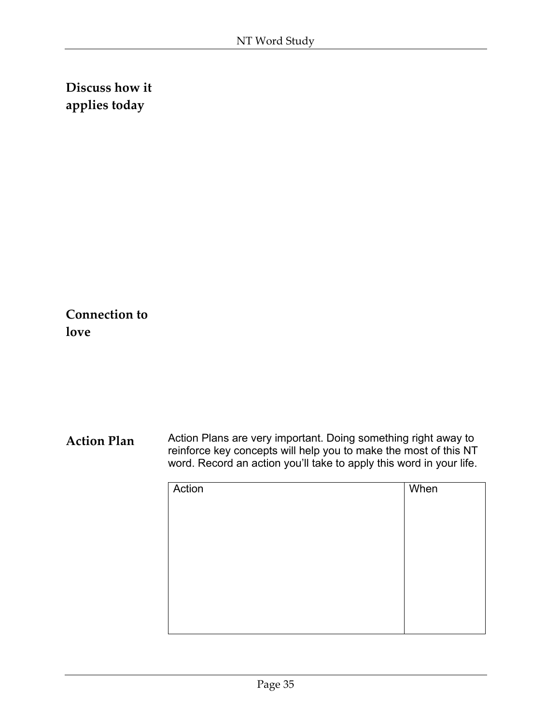**Connection to love**

| Action | When |
|--------|------|
|        |      |
|        |      |
|        |      |
|        |      |
|        |      |
|        |      |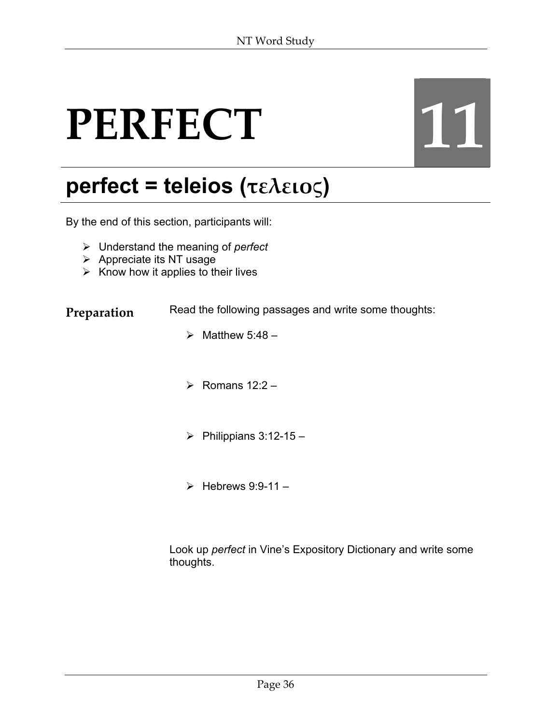# PERFECT 11

## **perfect = teleios (τελειο**ς**)**

By the end of this section, participants will:

- ¾ Understand the meaning of *perfect*
- $\triangleright$  Appreciate its NT usage
- $\triangleright$  Know how it applies to their lives

**Preparation** Read the following passages and write some thoughts:

- $\triangleright$  Matthew 5:48 –
- $\triangleright$  Romans 12:2 –
- $\triangleright$  Philippians 3:12-15 –
- $\triangleright$  Hebrews 9:9-11 –

Look up *perfect* in Vine's Expository Dictionary and write some thoughts.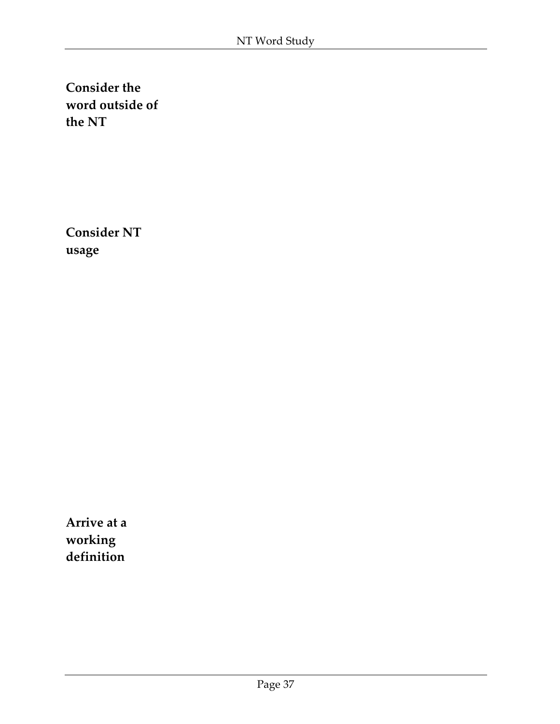**Consider NT usage**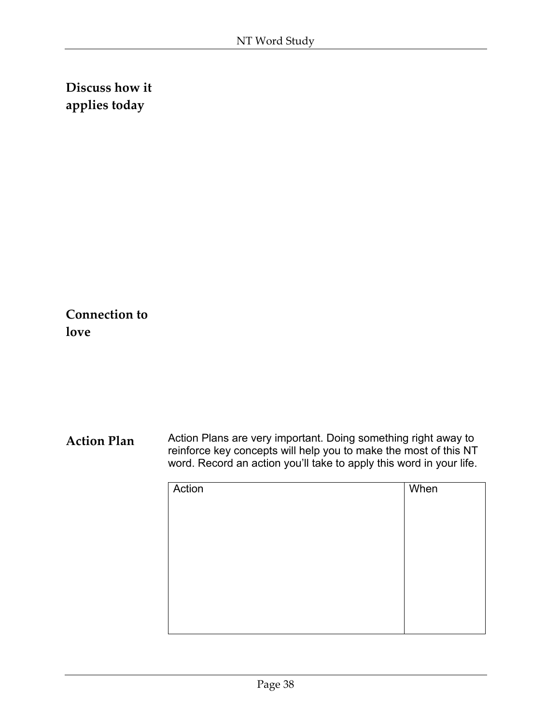**Connection to love**

| Action | When |
|--------|------|
|        |      |
|        |      |
|        |      |
|        |      |
|        |      |
|        |      |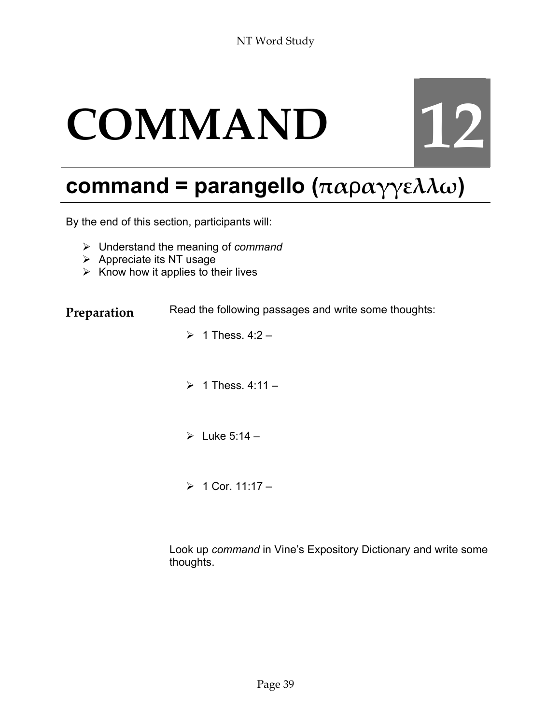# **COMMAND 12**

## **command = parangello (πα**ρ**αγγελλω)**

By the end of this section, participants will:

- ¾ Understand the meaning of *command*
- $\triangleright$  Appreciate its NT usage
- $\triangleright$  Know how it applies to their lives

**Preparation** Read the following passages and write some thoughts:

- $\geq 1$  Thess. 4:2 –
- $\geq 1$  Thess. 4:11 –
- $\triangleright$  Luke 5:14 –
- $> 1$  Cor. 11:17 –

Look up *command* in Vine's Expository Dictionary and write some thoughts.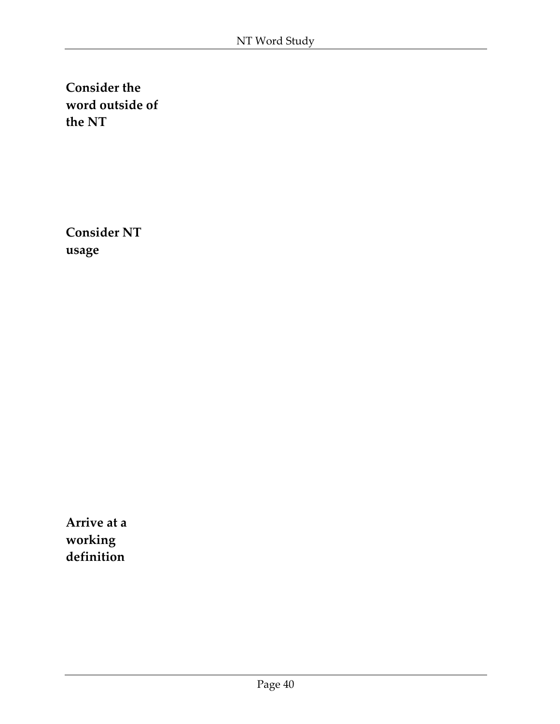**Consider NT usage**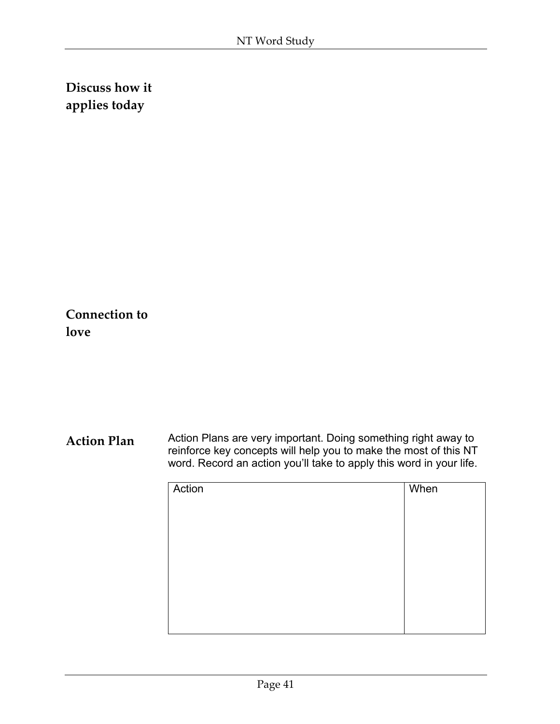**Connection to love**

| Action | When |
|--------|------|
|        |      |
|        |      |
|        |      |
|        |      |
|        |      |
|        |      |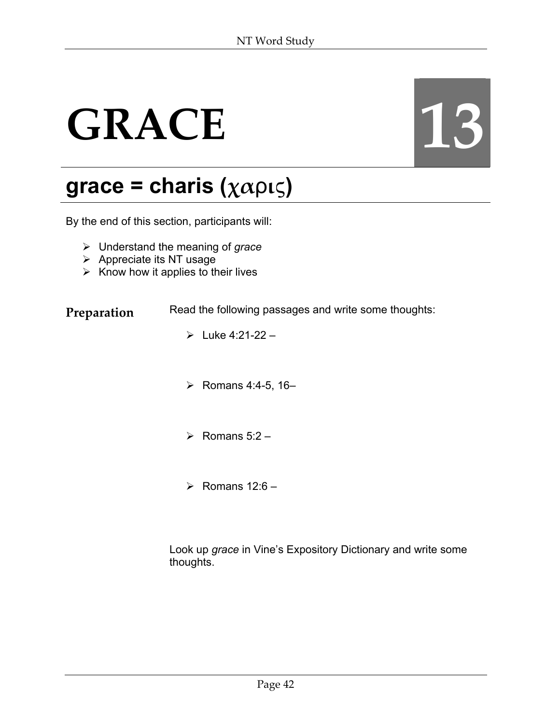# GRACE 13

#### **grace = charis (χα**ρ**ι**ς**)**

By the end of this section, participants will:

- ¾ Understand the meaning of *grace*
- $\triangleright$  Appreciate its NT usage
- $\triangleright$  Know how it applies to their lives

**Preparation** Read the following passages and write some thoughts:

- $\triangleright$  Luke 4:21-22 –
- ¾ Romans 4:4-5, 16–
- $\triangleright$  Romans 5:2 –
- $\triangleright$  Romans 12:6 –

Look up *grace* in Vine's Expository Dictionary and write some thoughts.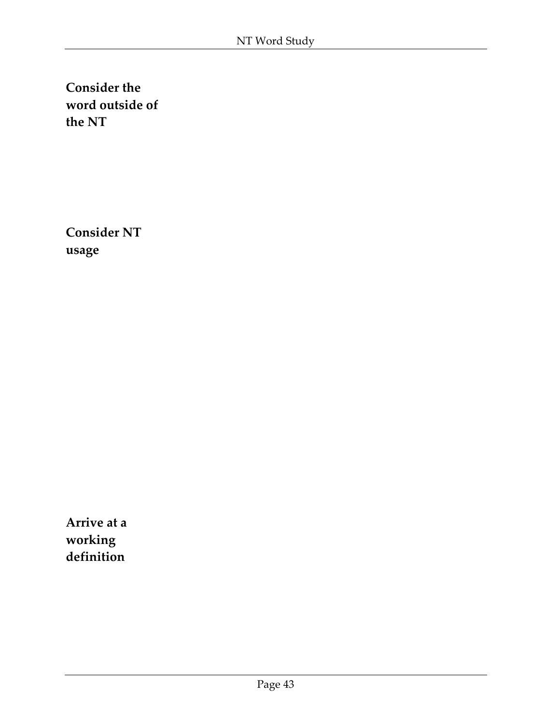**Consider NT usage**